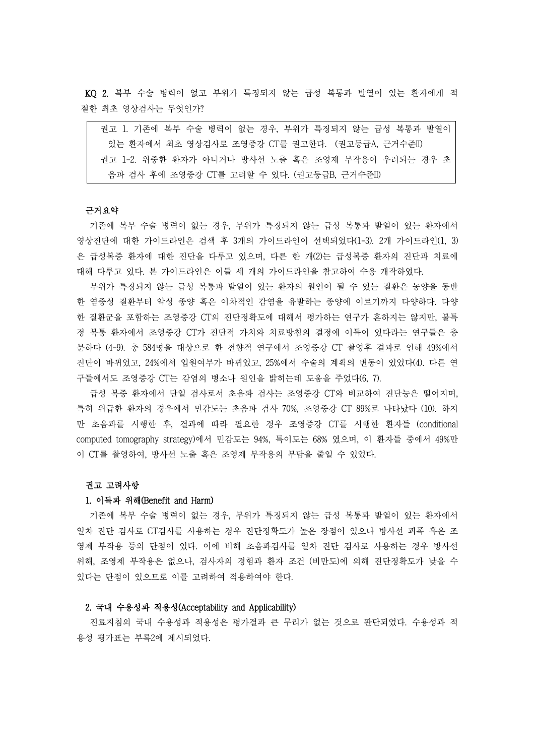KQ 2. 복부 수술 병력이 없고 부위가 특징되지 않는 급성 복통과 발열이 있는 환자에게 적 절한 최초 영상검사는 무엇인가?

| 권고 1. 기존에 복부 수술 병력이 없는 경우, 부위가 특징되지 않는 급성 복통과 발열이 |
|---------------------------------------------------|
| 있는 화자에서 최초 영상검사로 조영증강 CT를 궈고하다. (궈고등급A. 근거수준II)   |
| 권고 1-2. 위중한 환자가 아니거나 방사선 노출 혹은 조영제 부작용이 우려되는 경우 초 |
| 음파 검사 후에 조영증강 CT를 고려할 수 있다. (권고등급B, 근거수준II)       |

# 근거요약

기존에 복부 수술 병력이 없는 경우, 부위가 특징되지 않는 급성 복통과 발열이 있는 환자에서 영상진단에 대한 가이드라인은 검색 후 3개의 가이드라인이 선택되었다(1-3). 2개 가이드라인(1, 3) 은 급성복증 환자에 대한 진단을 다루고 있으며, 다른 한 개(2)는 급성복증 환자의 진단과 치료에 대해 다루고 있다. 본 가이드라인은 이들 세 개의 가이드라인을 참고하여 수용 개작하였다.

부위가 특징되지 않는 급성 복통과 발열이 있는 환자의 원인이 될 수 있는 질환은 농양을 동반 한 염증성 질환부터 악성 종양 혹은 이차적인 감염을 유발하는 종양에 이르기까지 다양하다. 다양 한 질환군을 포함하는 조영증강 CT의 진단정확도에 대해서 평가하는 연구가 흔하지는 않지만, 불특 정 복통 환자에서 조영증강 CT가 진단적 가치와 치료방침의 결정에 이득이 있다라는 연구들은 충 분하다 (4-9). 총 584명을 대상으로 한 전향적 연구에서 조영증강 CT 촬영후 결과로 인해 49%에서 진단이 바뀌었고, 24%에서 입원여부가 바뀌었고, 25%에서 수술의 계획의 변동이 있었다(4). 다른 연 구들에서도 조영증강 CT는 감염의 병소나 원인을 밝히는데 도움을 주었다(6, 7).

급성 복증 환자에서 단일 검사로서 초음파 검사는 조영증강 CT와 비교하여 진단능은 떨어지며, 특히 위급한 환자의 경우에서 민감도는 초음파 검사 70%, 조영증강 CT 89%로 나타났다 (10). 하지 만 초음파를 시행한 후, 결과에 따라 필요한 경우 조영증강 CT를 시행한 환자들 (conditional computed tomography strategy)에서 민감도는 94%, 특이도는 68% 였으며, 이 환자들 중에서 49%만 이 CT를 촬영하여, 방사선 노출 혹은 조영제 부작용의 부담을 줄일 수 있었다.

#### 권고 고려사항

### 1. 이득과 위해(Benefit and Harm)

기존에 복부 수술 병력이 없는 경우, 부위가 특징되지 않는 급성 복통과 발열이 있는 환자에서 일차 진단 검사로 CT검사를 사용하는 경우 진단정확도가 높은 장점이 있으나 방사선 피폭 혹은 조 영제 부작용 등의 단점이 있다. 이에 비해 초음파검사를 일차 진단 검사로 사용하는 경우 방사선 위해, 조영제 부작용은 없으나, 검사자의 경험과 환자 조건 (비만도)에 의해 진단정확도가 낮을 수 있다는 단점이 있으므로 이를 고려하여 적용하여야 한다.

### 2. 국내 수용성과 적용성(Acceptability and Applicability)

진료지침의 국내 수용성과 적용성은 평가결과 큰 무리가 없는 것으로 판단되었다. 수용성과 적 용성 평가표는 부록2에 제시되었다.